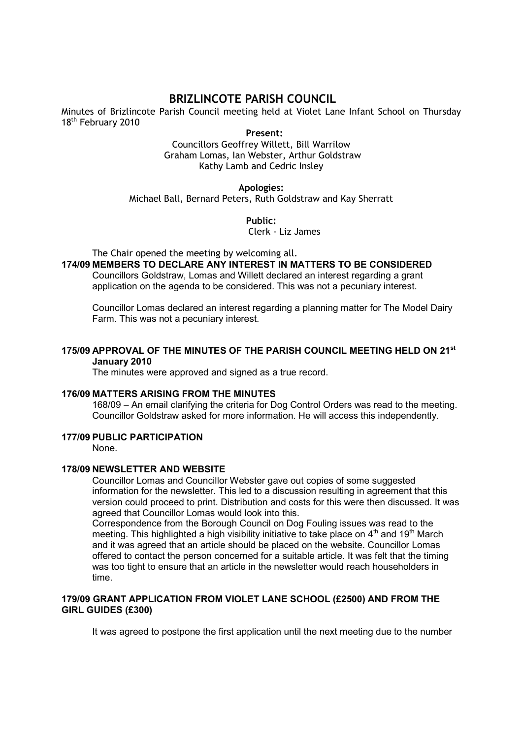# BRIZLINCOTE PARISH COUNCIL

Minutes of Brizlincote Parish Council meeting held at Violet Lane Infant School on Thursday 18<sup>th</sup> February 2010

Present:

Councillors Geoffrey Willett, Bill Warrilow Graham Lomas, Ian Webster, Arthur Goldstraw Kathy Lamb and Cedric Insley

### Apologies:

Michael Ball, Bernard Peters, Ruth Goldstraw and Kay Sherratt

Public:

Clerk - Liz James

The Chair opened the meeting by welcoming all.

174/09 MEMBERS TO DECLARE ANY INTEREST IN MATTERS TO BE CONSIDERED

Councillors Goldstraw, Lomas and Willett declared an interest regarding a grant application on the agenda to be considered. This was not a pecuniary interest.

 Councillor Lomas declared an interest regarding a planning matter for The Model Dairy Farm. This was not a pecuniary interest.

### 175/09 APPROVAL OF THE MINUTES OF THE PARISH COUNCIL MEETING HELD ON 21st January 2010

The minutes were approved and signed as a true record.

### 176/09 MATTERS ARISING FROM THE MINUTES

168/09 – An email clarifying the criteria for Dog Control Orders was read to the meeting. Councillor Goldstraw asked for more information. He will access this independently.

## 177/09 PUBLIC PARTICIPATION

None.

#### 178/09 NEWSLETTER AND WEBSITE

Councillor Lomas and Councillor Webster gave out copies of some suggested information for the newsletter. This led to a discussion resulting in agreement that this version could proceed to print. Distribution and costs for this were then discussed. It was agreed that Councillor Lomas would look into this.

Correspondence from the Borough Council on Dog Fouling issues was read to the meeting. This highlighted a high visibility initiative to take place on  $4<sup>th</sup>$  and  $19<sup>th</sup>$  March and it was agreed that an article should be placed on the website. Councillor Lomas offered to contact the person concerned for a suitable article. It was felt that the timing was too tight to ensure that an article in the newsletter would reach householders in time.

### 179/09 GRANT APPLICATION FROM VIOLET LANE SCHOOL (£2500) AND FROM THE GIRL GUIDES (£300)

It was agreed to postpone the first application until the next meeting due to the number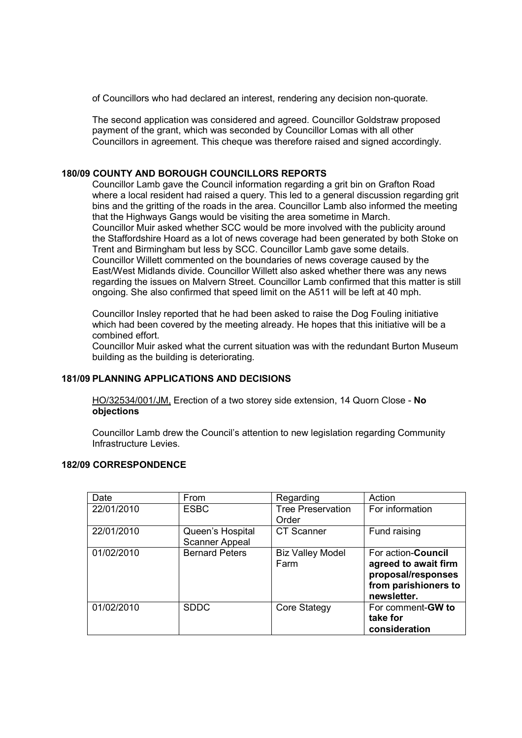of Councillors who had declared an interest, rendering any decision non-quorate.

The second application was considered and agreed. Councillor Goldstraw proposed payment of the grant, which was seconded by Councillor Lomas with all other Councillors in agreement. This cheque was therefore raised and signed accordingly.

## 180/09 COUNTY AND BOROUGH COUNCILLORS REPORTS

Councillor Lamb gave the Council information regarding a grit bin on Grafton Road where a local resident had raised a query. This led to a general discussion regarding grit bins and the gritting of the roads in the area. Councillor Lamb also informed the meeting that the Highways Gangs would be visiting the area sometime in March. Councillor Muir asked whether SCC would be more involved with the publicity around the Staffordshire Hoard as a lot of news coverage had been generated by both Stoke on Trent and Birmingham but less by SCC. Councillor Lamb gave some details. Councillor Willett commented on the boundaries of news coverage caused by the East/West Midlands divide. Councillor Willett also asked whether there was any news regarding the issues on Malvern Street. Councillor Lamb confirmed that this matter is still ongoing. She also confirmed that speed limit on the A511 will be left at 40 mph.

Councillor Insley reported that he had been asked to raise the Dog Fouling initiative which had been covered by the meeting already. He hopes that this initiative will be a combined effort.

Councillor Muir asked what the current situation was with the redundant Burton Museum building as the building is deteriorating.

### 181/09 PLANNING APPLICATIONS AND DECISIONS

HO/32534/001/JM, Erection of a two storey side extension, 14 Quorn Close - No objections

Councillor Lamb drew the Council's attention to new legislation regarding Community Infrastructure Levies.

### 182/09 CORRESPONDENCE

| Date       | From                                      | Regarding                         | Action                                                                                                          |  |  |
|------------|-------------------------------------------|-----------------------------------|-----------------------------------------------------------------------------------------------------------------|--|--|
| 22/01/2010 | <b>ESBC</b>                               | <b>Tree Preservation</b><br>Order | For information                                                                                                 |  |  |
| 22/01/2010 | Queen's Hospital<br><b>Scanner Appeal</b> | <b>CT Scanner</b>                 | Fund raising                                                                                                    |  |  |
| 01/02/2010 | <b>Bernard Peters</b>                     | <b>Biz Valley Model</b><br>Farm   | For action- <b>Council</b><br>agreed to await firm<br>proposal/responses<br>from parishioners to<br>newsletter. |  |  |
| 01/02/2010 | <b>SDDC</b>                               | <b>Core Stategy</b>               | For comment-GW to<br>take for<br>consideration                                                                  |  |  |